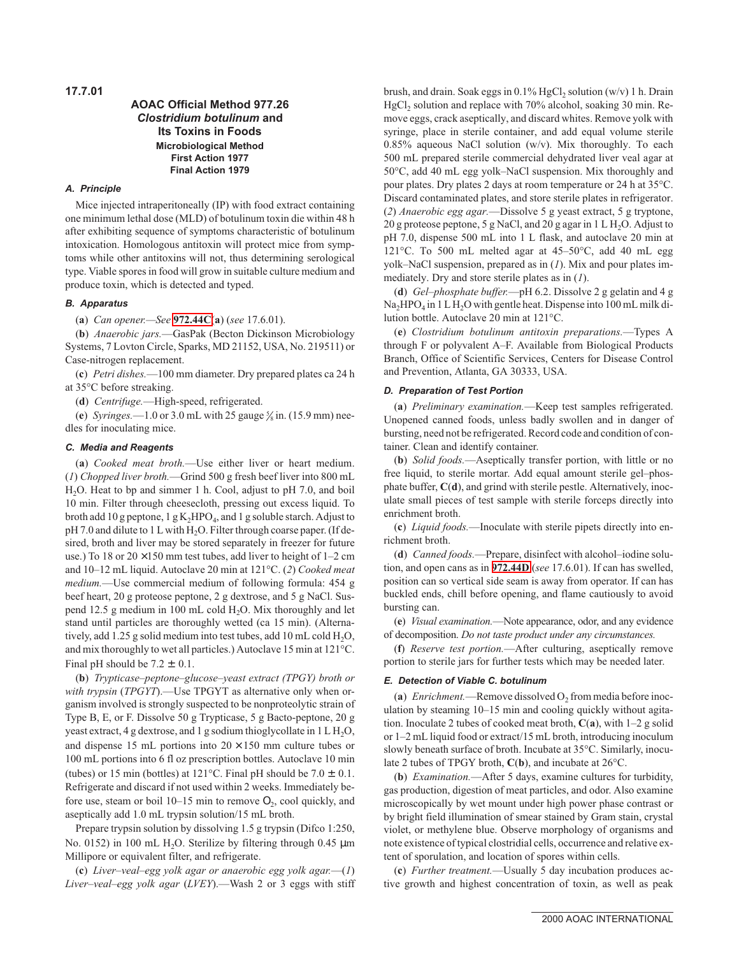**17.7.01**

# **AOAC Official Method 977.26 Clostridium botulinum and Its Toxins in Foods Microbiological Method First Action 1977 Final Action 1979**

## **A. Principle**

Mice injected intraperitoneally (IP) with food extract containing one minimum lethal dose (MLD) of botulinum toxin die within 48 h after exhibiting sequence of symptoms characteristic of botulinum intoxication. Homologous antitoxin will protect mice from symptoms while other antitoxins will not, thus determining serological type. Viable spores in food will grow in suitable culture medium and produce toxin, which is detected and typed.

## **B. Apparatus**

(**a**) *Can opener.—See* **972.44C**(**a**) (*see* 17.6.01).

(**b**) *Anaerobic jars.*—GasPak (Becton Dickinson Microbiology Systems, 7 Lovton Circle, Sparks, MD 21152, USA, No. 219511) or Case-nitrogen replacement.

(**c**) *Petri dishes.*—100 mm diameter. Dry prepared plates ca 24 h at 35°C before streaking.

(**d**) *Centrifuge.*—High-speed, refrigerated.

(e) Syringes.  $-1.0$  or 3.0 mL with 25 gauge  $\frac{5}{8}$  in. (15.9 mm) needles for inoculating mice.

#### **C. Media and Reagents**

(**a**) *Cooked meat broth.*—Use either liver or heart medium. (*1*) *Chopped liver broth.*—Grind 500 g fresh beef liver into 800 mL H2O. Heat to bp and simmer 1 h. Cool, adjust to pH 7.0, and boil 10 min. Filter through cheesecloth, pressing out excess liquid. To broth add 10 g peptone,  $1 g K_2 HPO_4$ , and 1 g soluble starch. Adjust to  $pH$  7.0 and dilute to 1 L with  $H_2O$ . Filter through coarse paper. (If desired, broth and liver may be stored separately in freezer for future use.) To 18 or  $20 \times 150$  mm test tubes, add liver to height of 1–2 cm and 10–12 mL liquid. Autoclave 20 min at 121°C. (*2*) *Cooked meat medium.*—Use commercial medium of following formula: 454 g beef heart, 20 g proteose peptone, 2 g dextrose, and 5 g NaCl. Suspend 12.5 g medium in 100 mL cold  $H_2O$ . Mix thoroughly and let stand until particles are thoroughly wetted (ca 15 min). (Alternatively, add 1.25 g solid medium into test tubes, add 10 mL cold  $H_2O$ , and mix thoroughly to wet all particles.) Autoclave 15 min at 121°C. Final pH should be  $7.2 \pm 0.1$ .

(**b**) *Trypticase–peptone–glucose–yeast extract (TPGY) broth or with trypsin* (*TPGYT*).—Use TPGYT as alternative only when organism involved is strongly suspected to be nonproteolytic strain of Type B, E, or F. Dissolve 50 g Trypticase, 5 g Bacto-peptone, 20 g yeast extract, 4 g dextrose, and 1 g sodium thioglycollate in 1 L H<sub>2</sub>O, and dispense 15 mL portions into  $20 \times 150$  mm culture tubes or 100 mL portions into 6 fl oz prescription bottles. Autoclave 10 min (tubes) or 15 min (bottles) at 121 °C. Final pH should be  $7.0 \pm 0.1$ . Refrigerate and discard if not used within 2 weeks. Immediately before use, steam or boil  $10-15$  min to remove  $O_2$ , cool quickly, and aseptically add 1.0 mL trypsin solution/15 mL broth.

Prepare trypsin solution by dissolving 1.5 g trypsin (Difco 1:250, No. 0152) in 100 mL H<sub>2</sub>O. Sterilize by filtering through 0.45  $\mu$ m Millipore or equivalent filter, and refrigerate.

(**c**) *Liver–veal–egg yolk agar or anaerobic egg yolk agar.*—(*1*) *Liver–veal–egg yolk agar* (*LVEY*).—Wash 2 or 3 eggs with stiff

brush, and drain. Soak eggs in  $0.1\%$  HgCl<sub>2</sub> solution (w/v) 1 h. Drain HgCl<sub>2</sub> solution and replace with 70% alcohol, soaking 30 min. Remove eggs, crack aseptically, and discard whites. Remove yolk with syringe, place in sterile container, and add equal volume sterile 0.85% aqueous NaCl solution (w/v). Mix thoroughly. To each 500 mL prepared sterile commercial dehydrated liver veal agar at 50°C, add 40 mL egg yolk–NaCl suspension. Mix thoroughly and pour plates. Dry plates 2 days at room temperature or 24 h at 35°C. Discard contaminated plates, and store sterile plates in refrigerator. (*2*) *Anaerobic egg agar.*—Dissolve 5 g yeast extract, 5 g tryptone, 20 g proteose peptone, 5 g NaCl, and 20 g agar in  $1 L H<sub>2</sub>O$ . Adjust to pH 7.0, dispense 500 mL into 1 L flask, and autoclave 20 min at 121°C. To 500 mL melted agar at 45–50°C, add 40 mL egg yolk–NaCl suspension, prepared as in (*1*). Mix and pour plates immediately. Dry and store sterile plates as in (*1*).

(**d**) *Gel–phosphate buffer.*—pH 6.2. Dissolve 2 g gelatin and 4 g  $Na<sub>2</sub>HPO<sub>4</sub>$  in 1 L H<sub>2</sub>O with gentle heat. Dispense into 100 mL milk dilution bottle. Autoclave 20 min at 121°C.

(**e**) *Clostridium botulinum antitoxin preparations.*—Types A through F or polyvalent A–F. Available from Biological Products Branch, Office of Scientific Services, Centers for Disease Control and Prevention, Atlanta, GA 30333, USA.

#### **D. Preparation of Test Portion**

(**a**) *Preliminary examination.*—Keep test samples refrigerated. Unopened canned foods, unless badly swollen and in danger of bursting, need not be refrigerated. Record code and condition of container. Clean and identify container.

(**b**) *Solid foods.*—Aseptically transfer portion, with little or no free liquid, to sterile mortar. Add equal amount sterile gel–phosphate buffer, **C**(**d**), and grind with sterile pestle. Alternatively, inoculate small pieces of test sample with sterile forceps directly into enrichment broth.

(**c**) *Liquid foods.*—Inoculate with sterile pipets directly into enrichment broth.

(**d**) *Canned foods.*—Prepare, disinfect with alcohol–iodine solution, and open cans as in **972.44D** (*see* 17.6.01). If can has swelled, position can so vertical side seam is away from operator. If can has buckled ends, chill before opening, and flame cautiously to avoid bursting can.

(**e**) *Visual examination.*—Note appearance, odor, and any evidence of decomposition. *Do not taste product under any circumstances.*

(**f**) *Reserve test portion.*—After culturing, aseptically remove portion to sterile jars for further tests which may be needed later.

#### **E. Detection of Viable C. botulinum**

(a)  $Enrichment$ .—Remove dissolved  $O<sub>2</sub>$  from media before inoculation by steaming 10–15 min and cooling quickly without agitation. Inoculate 2 tubes of cooked meat broth, **C**(**a**), with 1–2 g solid or 1–2 mL liquid food or extract/15 mL broth, introducing inoculum slowly beneath surface of broth. Incubate at 35°C. Similarly, inoculate 2 tubes of TPGY broth, **C**(**b**), and incubate at 26°C.

(**b**) *Examination.*—After 5 days, examine cultures for turbidity, gas production, digestion of meat particles, and odor. Also examine microscopically by wet mount under high power phase contrast or by bright field illumination of smear stained by Gram stain, crystal violet, or methylene blue. Observe morphology of organisms and note existence of typical clostridial cells, occurrence and relative extent of sporulation, and location of spores within cells.

(**c**) *Further treatment.*—Usually 5 day incubation produces active growth and highest concentration of toxin, as well as peak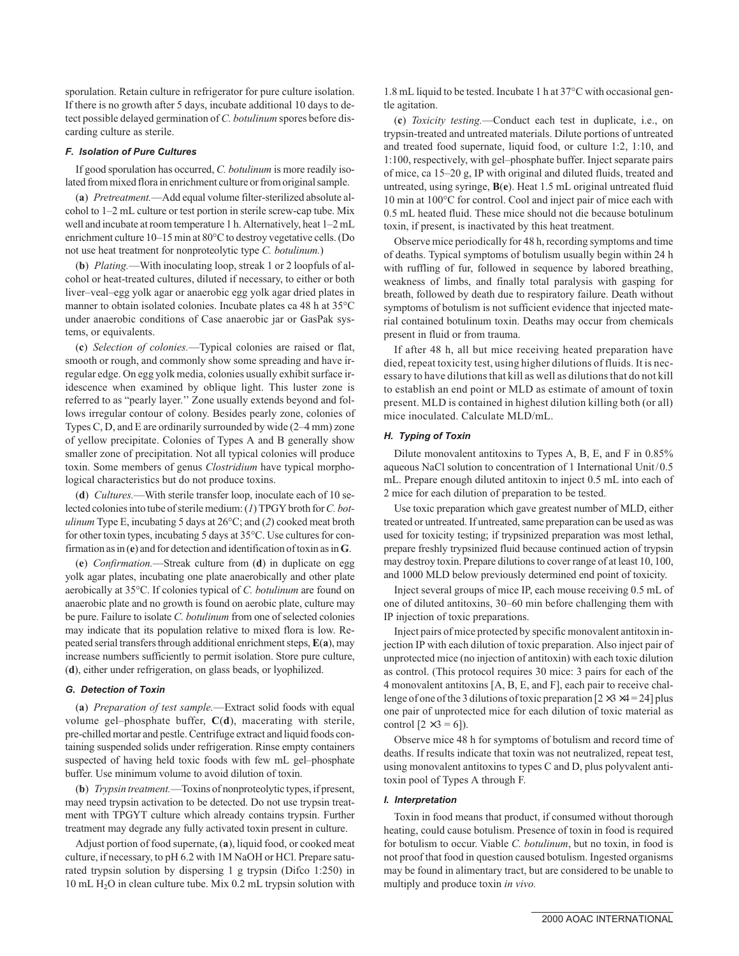sporulation. Retain culture in refrigerator for pure culture isolation. If there is no growth after 5 days, incubate additional 10 days to detect possible delayed germination of *C. botulinum* spores before discarding culture as sterile.

## **F. Isolation of Pure Cultures**

If good sporulation has occurred, *C. botulinum* is more readily isolated from mixed flora in enrichment culture or from original sample.

(**a**) *Pretreatment.*—Add equal volume filter-sterilized absolute alcohol to 1–2 mL culture or test portion in sterile screw-cap tube. Mix well and incubate at room temperature 1 h. Alternatively, heat 1–2 mL enrichment culture 10–15 min at 80°C to destroy vegetative cells. (Do not use heat treatment for nonproteolytic type *C. botulinum.*)

(**b**) *Plating.*—With inoculating loop, streak 1 or 2 loopfuls of alcohol or heat-treated cultures, diluted if necessary, to either or both liver–veal–egg yolk agar or anaerobic egg yolk agar dried plates in manner to obtain isolated colonies. Incubate plates ca 48 h at 35°C under anaerobic conditions of Case anaerobic jar or GasPak systems, or equivalents.

(**c**) *Selection of colonies.*—Typical colonies are raised or flat, smooth or rough, and commonly show some spreading and have irregular edge. On egg yolk media, colonies usually exhibit surface iridescence when examined by oblique light. This luster zone is referred to as "pearly layer.'' Zone usually extends beyond and follows irregular contour of colony. Besides pearly zone, colonies of Types C, D, and E are ordinarily surrounded by wide (2–4 mm) zone of yellow precipitate. Colonies of Types A and B generally show smaller zone of precipitation. Not all typical colonies will produce toxin. Some members of genus *Clostridium* have typical morphological characteristics but do not produce toxins.

(**d**) *Cultures.*—With sterile transfer loop, inoculate each of 10 selected colonies into tube of sterile medium: (*1*) TPGY broth for*C. botulinum* Type E, incubating 5 days at 26°C; and (*2*) cooked meat broth for other toxin types, incubating 5 days at 35°C. Use cultures for confirmation as in (**e**) and for detection and identification of toxin as in**G**.

(**e**) *Confirmation.*—Streak culture from (**d**) in duplicate on egg yolk agar plates, incubating one plate anaerobically and other plate aerobically at 35°C. If colonies typical of *C. botulinum* are found on anaerobic plate and no growth is found on aerobic plate, culture may be pure. Failure to isolate *C. botulinum* from one of selected colonies may indicate that its population relative to mixed flora is low. Repeated serial transfers through additional enrichment steps, **E**(**a**), may increase numbers sufficiently to permit isolation. Store pure culture, (**d**), either under refrigeration, on glass beads, or lyophilized.

#### **G. Detection of Toxin**

(**a**) *Preparation of test sample.*—Extract solid foods with equal volume gel–phosphate buffer, **C**(**d**), macerating with sterile, pre-chilled mortar and pestle. Centrifuge extract and liquid foods containing suspended solids under refrigeration. Rinse empty containers suspected of having held toxic foods with few mL gel–phosphate buffer. Use minimum volume to avoid dilution of toxin.

(**b**) *Trypsin treatment.*—Toxins of nonproteolytic types, if present, may need trypsin activation to be detected. Do not use trypsin treatment with TPGYT culture which already contains trypsin. Further treatment may degrade any fully activated toxin present in culture.

Adjust portion of food supernate, (**a**), liquid food, or cooked meat culture, if necessary, to pH 6.2 with 1M NaOH or HCl. Prepare saturated trypsin solution by dispersing 1 g trypsin (Difco 1:250) in 10 mL H2O in clean culture tube. Mix 0.2 mL trypsin solution with 1.8 mL liquid to be tested. Incubate 1 h at 37°C with occasional gentle agitation.

(**c**) *Toxicity testing.*—Conduct each test in duplicate, i.e., on trypsin-treated and untreated materials. Dilute portions of untreated and treated food supernate, liquid food, or culture 1:2, 1:10, and 1:100, respectively, with gel–phosphate buffer. Inject separate pairs of mice, ca 15–20 g, IP with original and diluted fluids, treated and untreated, using syringe, **B**(**e**). Heat 1.5 mL original untreated fluid 10 min at 100°C for control. Cool and inject pair of mice each with 0.5 mL heated fluid. These mice should not die because botulinum toxin, if present, is inactivated by this heat treatment.

Observe mice periodically for 48 h, recording symptoms and time of deaths. Typical symptoms of botulism usually begin within 24 h with ruffling of fur, followed in sequence by labored breathing, weakness of limbs, and finally total paralysis with gasping for breath, followed by death due to respiratory failure. Death without symptoms of botulism is not sufficient evidence that injected material contained botulinum toxin. Deaths may occur from chemicals present in fluid or from trauma.

If after 48 h, all but mice receiving heated preparation have died, repeat toxicity test, using higher dilutions of fluids. It is necessary to have dilutions that kill as well as dilutions that do not kill to establish an end point or MLD as estimate of amount of toxin present. MLD is contained in highest dilution killing both (or all) mice inoculated. Calculate MLD/mL.

## **H. Typing of Toxin**

Dilute monovalent antitoxins to Types A, B, E, and F in 0.85% aqueous NaCl solution to concentration of 1 International Unit/0.5 mL. Prepare enough diluted antitoxin to inject 0.5 mL into each of 2 mice for each dilution of preparation to be tested.

Use toxic preparation which gave greatest number of MLD, either treated or untreated. If untreated, same preparation can be used as was used for toxicity testing; if trypsinized preparation was most lethal, prepare freshly trypsinized fluid because continued action of trypsin may destroy toxin. Prepare dilutions to cover range of at least 10, 100, and 1000 MLD below previously determined end point of toxicity.

Inject several groups of mice IP, each mouse receiving 0.5 mL of one of diluted antitoxins, 30–60 min before challenging them with IP injection of toxic preparations.

Inject pairs of mice protected by specific monovalent antitoxin injection IP with each dilution of toxic preparation. Also inject pair of unprotected mice (no injection of antitoxin) with each toxic dilution as control. (This protocol requires 30 mice: 3 pairs for each of the 4 monovalent antitoxins [A, B, E, and F], each pair to receive challenge of one of the 3 dilutions of toxic preparation  $[2 \times 3 \times 4 = 24]$  plus one pair of unprotected mice for each dilution of toxic material as control  $[2 \times 3 = 6]$ ).

Observe mice 48 h for symptoms of botulism and record time of deaths. If results indicate that toxin was not neutralized, repeat test, using monovalent antitoxins to types C and D, plus polyvalent antitoxin pool of Types A through F.

### **I. Interpretation**

Toxin in food means that product, if consumed without thorough heating, could cause botulism. Presence of toxin in food is required for botulism to occur. Viable *C. botulinum*, but no toxin, in food is not proof that food in question caused botulism. Ingested organisms may be found in alimentary tract, but are considered to be unable to multiply and produce toxin *in vivo.*